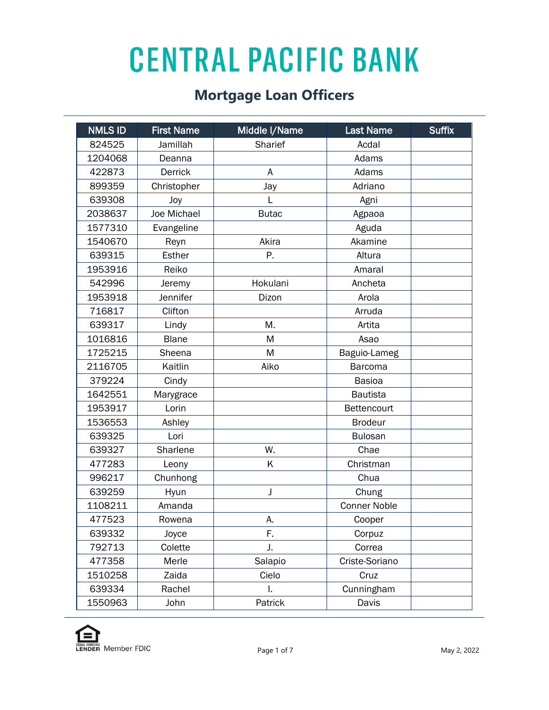| <b>NMLS ID</b> | <b>First Name</b> | Middle I/Name | <b>Last Name</b>    | <b>Suffix</b> |
|----------------|-------------------|---------------|---------------------|---------------|
| 824525         | Jamillah          | Sharief       | Acdal               |               |
| 1204068        | Deanna            |               | Adams               |               |
| 422873         | <b>Derrick</b>    | A             | Adams               |               |
| 899359         | Christopher       | Jay           | Adriano             |               |
| 639308         | Joy               | L             | Agni                |               |
| 2038637        | Joe Michael       | <b>Butac</b>  | Agpaoa              |               |
| 1577310        | Evangeline        |               | Aguda               |               |
| 1540670        | Reyn              | Akira         | Akamine             |               |
| 639315         | <b>Esther</b>     | Ρ.            | Altura              |               |
| 1953916        | Reiko             |               | Amaral              |               |
| 542996         | Jeremy            | Hokulani      | Ancheta             |               |
| 1953918        | Jennifer          | Dizon         | Arola               |               |
| 716817         | Clifton           |               | Arruda              |               |
| 639317         | Lindy             | Μ.            | Artita              |               |
| 1016816        | <b>Blane</b>      | M             | Asao                |               |
| 1725215        | Sheena            | M             | Baguio-Lameg        |               |
| 2116705        | Kaitlin           | Aiko          | <b>Barcoma</b>      |               |
| 379224         | Cindy             |               | <b>Basioa</b>       |               |
| 1642551        | Marygrace         |               | <b>Bautista</b>     |               |
| 1953917        | Lorin             |               | Bettencourt         |               |
| 1536553        | Ashley            |               | <b>Brodeur</b>      |               |
| 639325         | Lori              |               | <b>Bulosan</b>      |               |
| 639327         | Sharlene          | W.            | Chae                |               |
| 477283         | Leony             | Κ             | Christman           |               |
| 996217         | Chunhong          |               | Chua                |               |
| 639259         | Hyun              | J             | Chung               |               |
| 1108211        | Amanda            |               | <b>Conner Noble</b> |               |
| 477523         | Rowena            | А.            | Cooper              |               |
| 639332         | Joyce             | F.            | Corpuz              |               |
| 792713         | Colette           | J.            | Correa              |               |
| 477358         | Merle             | Salapio       | Criste-Soriano      |               |
| 1510258        | Zaida             | Cielo         | Cruz                |               |
| 639334         | Rachel            | I.            | Cunningham          |               |
| 1550963        | John              | Patrick       | Davis               |               |

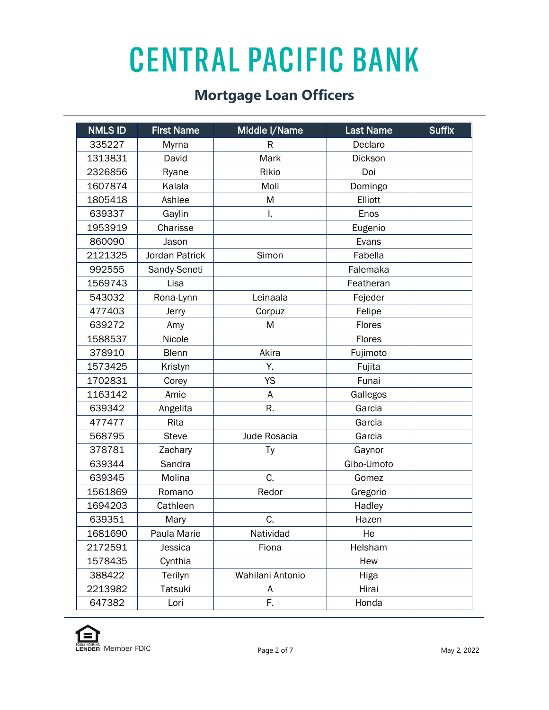| <b>NMLS ID</b> | <b>First Name</b> | Middle I/Name    | <b>Last Name</b> | <b>Suffix</b> |
|----------------|-------------------|------------------|------------------|---------------|
| 335227         | Myrna             | R                | Declaro          |               |
| 1313831        | David             | Mark             | Dickson          |               |
| 2326856        | Ryane             | Rikio            | Doi              |               |
| 1607874        | Kalala            | Moli             | Domingo          |               |
| 1805418        | Ashlee            | M                | Elliott          |               |
| 639337         | Gaylin            | I.               | Enos             |               |
| 1953919        | Charisse          |                  | Eugenio          |               |
| 860090         | Jason             |                  | Evans            |               |
| 2121325        | Jordan Patrick    | Simon            | Fabella          |               |
| 992555         | Sandy-Seneti      |                  | Falemaka         |               |
| 1569743        | Lisa              |                  | Featheran        |               |
| 543032         | Rona-Lynn         | Leinaala         | Fejeder          |               |
| 477403         | Jerry             | Corpuz           | Felipe           |               |
| 639272         | Amy               | M                | Flores           |               |
| 1588537        | Nicole            |                  | Flores           |               |
| 378910         | <b>Blenn</b>      | Akira            | Fujimoto         |               |
| 1573425        | Kristyn           | Υ.               | Fujita           |               |
| 1702831        | Corey             | <b>YS</b>        | Funai            |               |
| 1163142        | Amie              | A                | Gallegos         |               |
| 639342         | Angelita          | R.               | Garcia           |               |
| 477477         | Rita              |                  | Garcia           |               |
| 568795         | <b>Steve</b>      | Jude Rosacia     | Garcia           |               |
| 378781         | Zachary           | Тy               | Gaynor           |               |
| 639344         | Sandra            |                  | Gibo-Umoto       |               |
| 639345         | Molina            | C.               | Gomez            |               |
| 1561869        | Romano            | Redor            | Gregorio         |               |
| 1694203        | Cathleen          |                  | Hadley           |               |
| 639351         | Mary              | C.               | Hazen            |               |
| 1681690        | Paula Marie       | Natividad        | He               |               |
| 2172591        | Jessica           | Fiona            | Helsham          |               |
| 1578435        | Cynthia           |                  | Hew              |               |
| 388422         | Terilyn           | Wahilani Antonio | Higa             |               |
| 2213982        | Tatsuki           | A                | Hirai            |               |
| 647382         | Lori              | F.               | Honda            |               |

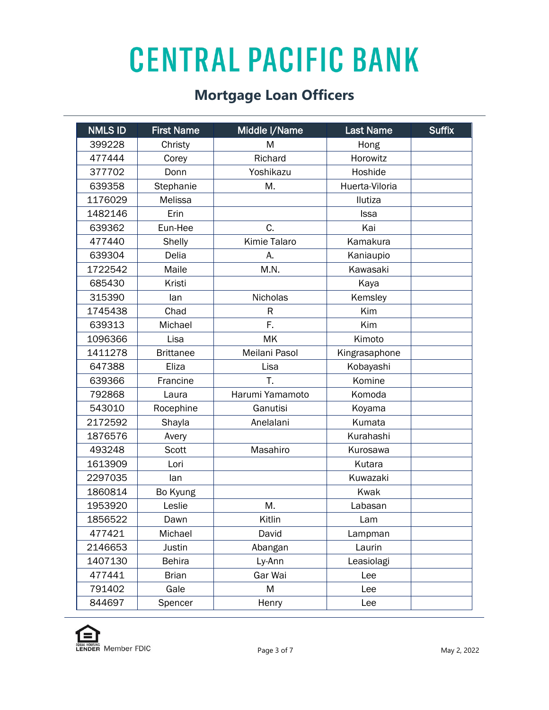| <b>NMLS ID</b> | <b>First Name</b> | Middle I/Name       | <b>Last Name</b> | <b>Suffix</b> |
|----------------|-------------------|---------------------|------------------|---------------|
| 399228         | Christy           | M                   | Hong             |               |
| 477444         | Corey             | Richard             | Horowitz         |               |
| 377702         | Donn              | Yoshikazu           | Hoshide          |               |
| 639358         | Stephanie         | M.                  | Huerta-Viloria   |               |
| 1176029        | Melissa           |                     | Ilutiza          |               |
| 1482146        | Erin              |                     | <b>Issa</b>      |               |
| 639362         | Eun-Hee           | C.                  | Kai              |               |
| 477440         | Shelly            | <b>Kimie Talaro</b> | Kamakura         |               |
| 639304         | Delia             | А.                  | Kaniaupio        |               |
| 1722542        | Maile             | M.N.                | Kawasaki         |               |
| 685430         | Kristi            |                     | Kaya             |               |
| 315390         | lan               | <b>Nicholas</b>     | Kemsley          |               |
| 1745438        | Chad              | R                   | Kim              |               |
| 639313         | Michael           | F.                  | Kim              |               |
| 1096366        | Lisa              | MK                  | Kimoto           |               |
| 1411278        | <b>Brittanee</b>  | Meilani Pasol       | Kingrasaphone    |               |
| 647388         | Eliza             | Lisa                | Kobayashi        |               |
| 639366         | Francine          | Τ.                  | Komine           |               |
| 792868         | Laura             | Harumi Yamamoto     | Komoda           |               |
| 543010         | Rocephine         | Ganutisi            | Koyama           |               |
| 2172592        | Shayla            | Anelalani           | Kumata           |               |
| 1876576        | Avery             |                     | Kurahashi        |               |
| 493248         | Scott             | Masahiro            | Kurosawa         |               |
| 1613909        | Lori              |                     | Kutara           |               |
| 2297035        | lan               |                     | Kuwazaki         |               |
| 1860814        | Bo Kyung          |                     | Kwak             |               |
| 1953920        | Leslie            | M.                  | Labasan          |               |
| 1856522        | Dawn              | Kitlin              | Lam              |               |
| 477421         | Michael           | David               | Lampman          |               |
| 2146653        | Justin            | Abangan             | Laurin           |               |
| 1407130        | <b>Behira</b>     | Ly-Ann              | Leasiolagi       |               |
| 477441         | <b>Brian</b>      | Gar Wai             | Lee              |               |
| 791402         | Gale              | M                   | Lee              |               |
| 844697         | Spencer           | Henry               | Lee              |               |

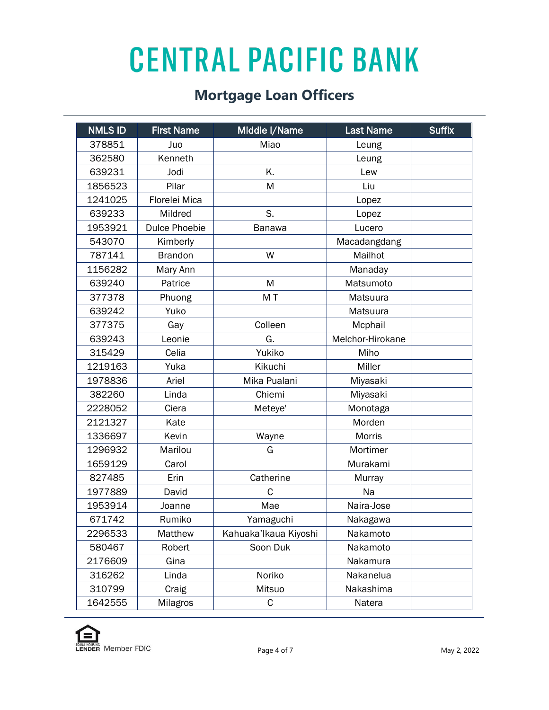| <b>NMLS ID</b> | <b>First Name</b>    | Middle I/Name         | <b>Last Name</b> | <b>Suffix</b> |
|----------------|----------------------|-----------------------|------------------|---------------|
| 378851         | Juo                  | Miao                  | Leung            |               |
| 362580         | Kenneth              |                       | Leung            |               |
| 639231         | Jodi                 | K.                    | Lew              |               |
| 1856523        | Pilar                | M                     | Liu              |               |
| 1241025        | Florelei Mica        |                       | Lopez            |               |
| 639233         | Mildred              | S.                    | Lopez            |               |
| 1953921        | <b>Dulce Phoebie</b> | Banawa                | Lucero           |               |
| 543070         | Kimberly             |                       | Macadangdang     |               |
| 787141         | <b>Brandon</b>       | W                     | Mailhot          |               |
| 1156282        | Mary Ann             |                       | Manaday          |               |
| 639240         | Patrice              | M                     | Matsumoto        |               |
| 377378         | Phuong               | MT                    | Matsuura         |               |
| 639242         | Yuko                 |                       | Matsuura         |               |
| 377375         | Gay                  | Colleen               | Mcphail          |               |
| 639243         | Leonie               | G.                    | Melchor-Hirokane |               |
| 315429         | Celia                | Yukiko                | Miho             |               |
| 1219163        | Yuka                 | Kikuchi               | Miller           |               |
| 1978836        | Ariel                | Mika Pualani          | Miyasaki         |               |
| 382260         | Linda                | Chiemi                | Miyasaki         |               |
| 2228052        | Ciera                | Meteye'               | Monotaga         |               |
| 2121327        | Kate                 |                       | Morden           |               |
| 1336697        | Kevin                | Wayne                 | Morris           |               |
| 1296932        | Marilou              | G                     | Mortimer         |               |
| 1659129        | Carol                |                       | Murakami         |               |
| 827485         | Erin                 | Catherine             | Murray           |               |
| 1977889        | David                | C                     | Na               |               |
| 1953914        | Joanne               | Mae                   | Naira-Jose       |               |
| 671742         | Rumiko               | Yamaguchi             | Nakagawa         |               |
| 2296533        | Matthew              | Kahuaka'lkaua Kiyoshi | Nakamoto         |               |
| 580467         | Robert               | Soon Duk              | Nakamoto         |               |
| 2176609        | Gina                 |                       | Nakamura         |               |
| 316262         | Linda                | Noriko                | Nakanelua        |               |
| 310799         | Craig                | Mitsuo                | Nakashima        |               |
| 1642555        | Milagros             | C                     | Natera           |               |

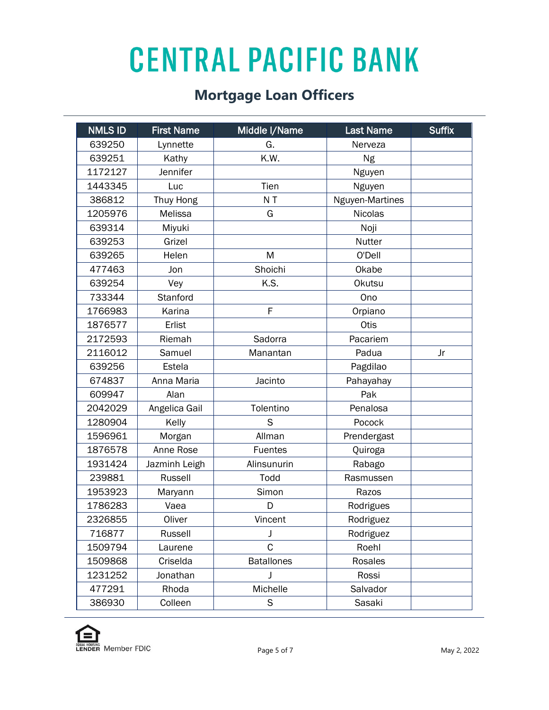| <b>NMLS ID</b> | <b>First Name</b> | Middle I/Name     | <b>Last Name</b> | <b>Suffix</b> |
|----------------|-------------------|-------------------|------------------|---------------|
| 639250         | Lynnette          | G.                | Nerveza          |               |
| 639251         | Kathy             | K.W.              | Ng               |               |
| 1172127        | Jennifer          |                   | Nguyen           |               |
| 1443345        | Luc               | Tien              | Nguyen           |               |
| 386812         | Thuy Hong         | N <sub>T</sub>    | Nguyen-Martines  |               |
| 1205976        | Melissa           | G                 | <b>Nicolas</b>   |               |
| 639314         | Miyuki            |                   | Noji             |               |
| 639253         | Grizel            |                   | Nutter           |               |
| 639265         | Helen             | M                 | O'Dell           |               |
| 477463         | Jon               | Shoichi           | Okabe            |               |
| 639254         | Vey               | K.S.              | <b>Okutsu</b>    |               |
| 733344         | Stanford          |                   | Ono              |               |
| 1766983        | Karina            | F                 | Orpiano          |               |
| 1876577        | Erlist            |                   | Otis             |               |
| 2172593        | Riemah            | Sadorra           | Pacariem         |               |
| 2116012        | Samuel            | Manantan          | Padua            | Jr            |
| 639256         | Estela            |                   | Pagdilao         |               |
| 674837         | Anna Maria        | Jacinto           | Pahayahay        |               |
| 609947         | Alan              |                   | Pak              |               |
| 2042029        | Angelica Gail     | Tolentino         | Penalosa         |               |
| 1280904        | Kelly             | S                 | Pocock           |               |
| 1596961        | Morgan            | Allman            | Prendergast      |               |
| 1876578        | Anne Rose         | <b>Fuentes</b>    | Quiroga          |               |
| 1931424        | Jazminh Leigh     | Alinsunurin       | Rabago           |               |
| 239881         | Russell           | Todd              | Rasmussen        |               |
| 1953923        | Maryann           | Simon             | Razos            |               |
| 1786283        | Vaea              | D                 | Rodrigues        |               |
| 2326855        | Oliver            | Vincent           | Rodriguez        |               |
| 716877         | Russell           | J                 | Rodriguez        |               |
| 1509794        | Laurene           | C                 | Roehl            |               |
| 1509868        | Criselda          | <b>Batallones</b> | Rosales          |               |
| 1231252        | Jonathan          | J                 | Rossi            |               |
| 477291         | Rhoda             | Michelle          | Salvador         |               |
| 386930         | Colleen           | S                 | Sasaki           |               |

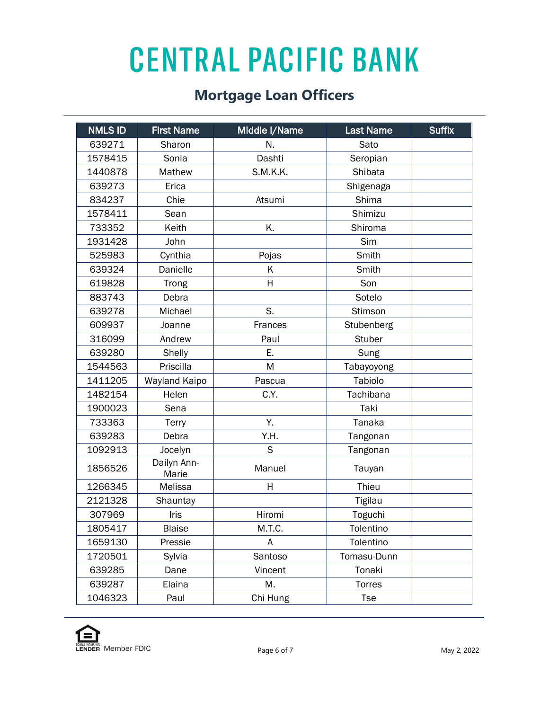| <b>NMLS ID</b> | <b>First Name</b>    | Middle I/Name | <b>Last Name</b> | <b>Suffix</b> |
|----------------|----------------------|---------------|------------------|---------------|
| 639271         | Sharon               | N.            | Sato             |               |
| 1578415        | Sonia                | Dashti        | Seropian         |               |
| 1440878        | Mathew               | S.M.K.K.      | Shibata          |               |
| 639273         | Erica                |               | Shigenaga        |               |
| 834237         | Chie                 | Atsumi        | Shima            |               |
| 1578411        | Sean                 |               | Shimizu          |               |
| 733352         | Keith                | K.            | Shiroma          |               |
| 1931428        | John                 |               | Sim              |               |
| 525983         | Cynthia              | Pojas         | Smith            |               |
| 639324         | Danielle             | K             | Smith            |               |
| 619828         | Trong                | Η             | Son              |               |
| 883743         | Debra                |               | Sotelo           |               |
| 639278         | Michael              | S.            | Stimson          |               |
| 609937         | Joanne               | Frances       | Stubenberg       |               |
| 316099         | Andrew               | Paul          | <b>Stuber</b>    |               |
| 639280         | Shelly               | Ε.            | Sung             |               |
| 1544563        | Priscilla            | M             | Tabayoyong       |               |
| 1411205        | Wayland Kaipo        | Pascua        | Tabiolo          |               |
| 1482154        | Helen                | C.Y.          | Tachibana        |               |
| 1900023        | Sena                 |               | Taki             |               |
| 733363         | Terry                | Υ.            | Tanaka           |               |
| 639283         | Debra                | Y.H.          | Tangonan         |               |
| 1092913        | Jocelyn              | S             | Tangonan         |               |
| 1856526        | Dailyn Ann-<br>Marie | Manuel        | Tauyan           |               |
| 1266345        | Melissa              | H             | Thieu            |               |
| 2121328        | Shauntay             |               | Tigilau          |               |
| 307969         | Iris                 | Hiromi        | Toguchi          |               |
| 1805417        | <b>Blaise</b>        | M.T.C.        | Tolentino        |               |
| 1659130        | Pressie              | A             | Tolentino        |               |
| 1720501        | Sylvia               | Santoso       | Tomasu-Dunn      |               |
| 639285         | Dane                 | Vincent       | Tonaki           |               |
| 639287         | Elaina               | Μ.            | Torres           |               |
| 1046323        | Paul                 | Chi Hung      | <b>Tse</b>       |               |